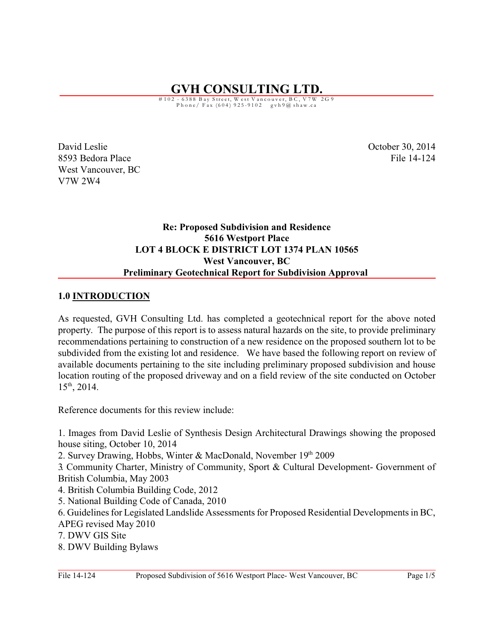**GVH CONSULTING LTD.**

# 102 - 6388 B ay Street, W est V an couver, B C, V 7 W 2 G 9<br>Phone/Fax (604) 925-9102 g vh 9 @ shaw.ca

David Leslie October 30, 2014 8593 Bedora Place File 14-124 West Vancouver, BC V7W 2W4

### **Re: Proposed Subdivision and Residence 5616 Westport Place LOT 4 BLOCK E DISTRICT LOT 1374 PLAN 10565 West Vancouver, BC Preliminary Geotechnical Report for Subdivision Approval**

### **1.0 INTRODUCTION**

As requested, GVH Consulting Ltd. has completed a geotechnical report for the above noted property. The purpose of this report is to assess natural hazards on the site, to provide preliminary recommendations pertaining to construction of a new residence on the proposed southern lot to be subdivided from the existing lot and residence. We have based the following report on review of available documents pertaining to the site including preliminary proposed subdivision and house location routing of the proposed driveway and on a field review of the site conducted on October 15th , 2014.

Reference documents for this review include:

1. Images from David Leslie of Synthesis Design Architectural Drawings showing the proposed house siting, October 10, 2014

2. Survey Drawing, Hobbs, Winter & MacDonald, November 19th 2009

3. Community Charter, Ministry of Community, Sport & Cultural Development- Government of British Columbia, May 2003

- 4. British Columbia Building Code, 2012
- 5. National Building Code of Canada, 2010
- 6. Guidelines for Legislated Landslide Assessments for Proposed Residential Developments in BC, APEG revised May 2010
- 7. DWV GIS Site
- 8. DWV Building Bylaws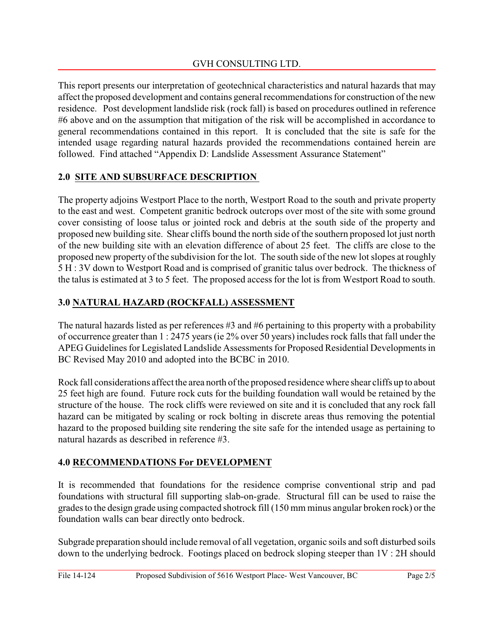This report presents our interpretation of geotechnical characteristics and natural hazards that may affect the proposed development and contains general recommendations for construction of the new residence. Post development landslide risk (rock fall) is based on procedures outlined in reference #6 above and on the assumption that mitigation of the risk will be accomplished in accordance to general recommendations contained in this report. It is concluded that the site is safe for the intended usage regarding natural hazards provided the recommendations contained herein are followed. Find attached "Appendix D: Landslide Assessment Assurance Statement"

### **2.0 SITE AND SUBSURFACE DESCRIPTION**

The property adjoins Westport Place to the north, Westport Road to the south and private property to the east and west. Competent granitic bedrock outcrops over most of the site with some ground cover consisting of loose talus or jointed rock and debris at the south side of the property and proposed new building site. Shear cliffs bound the north side of the southern proposed lot just north of the new building site with an elevation difference of about 25 feet. The cliffs are close to the proposed new property of the subdivision for the lot. The south side of the new lot slopes at roughly 5 H : 3V down to Westport Road and is comprised of granitic talus over bedrock. The thickness of the talus is estimated at 3 to 5 feet. The proposed access for the lot is from Westport Road to south.

# **3.0 NATURAL HAZARD (ROCKFALL) ASSESSMENT**

The natural hazards listed as per references #3 and #6 pertaining to this property with a probability of occurrence greater than 1 : 2475 years (ie 2% over 50 years) includes rock falls that fall under the APEG Guidelines for Legislated Landslide Assessments for Proposed Residential Developments in BC Revised May 2010 and adopted into the BCBC in 2010.

Rock fall considerations affect the area north of the proposed residence where shear cliffs up to about 25 feet high are found. Future rock cuts for the building foundation wall would be retained by the structure of the house. The rock cliffs were reviewed on site and it is concluded that any rock fall hazard can be mitigated by scaling or rock bolting in discrete areas thus removing the potential hazard to the proposed building site rendering the site safe for the intended usage as pertaining to natural hazards as described in reference #3.

# **4.0 RECOMMENDATIONS For DEVELOPMENT**

It is recommended that foundations for the residence comprise conventional strip and pad foundations with structural fill supporting slab-on-grade. Structural fill can be used to raise the grades to the design grade using compacted shotrock fill (150 mm minus angular broken rock) or the foundation walls can bear directly onto bedrock.

Subgrade preparation should include removal of all vegetation, organic soils and soft disturbed soils down to the underlying bedrock. Footings placed on bedrock sloping steeper than 1V : 2H should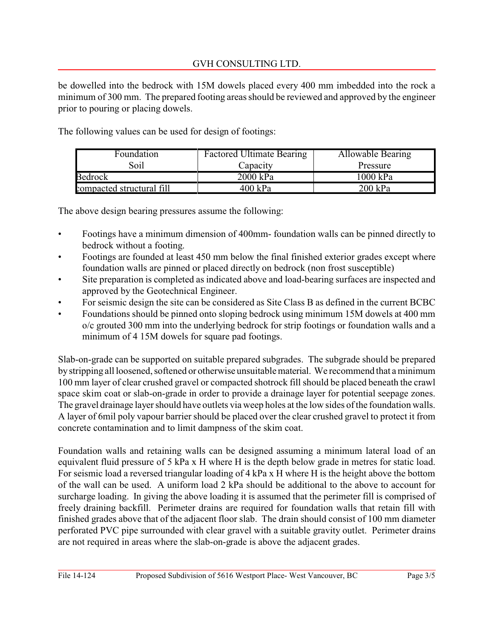be dowelled into the bedrock with 15M dowels placed every 400 mm imbedded into the rock a minimum of 300 mm. The prepared footing areas should be reviewed and approved by the engineer prior to pouring or placing dowels.

The following values can be used for design of footings:

| Foundation                | <b>Factored Ultimate Bearing</b> | Allowable Bearing |
|---------------------------|----------------------------------|-------------------|
| Soil                      | Capacity                         | Pressure          |
| <b>Bedrock</b>            | $2000$ kPa                       | 1000 kPa          |
| compacted structural fill | 400 kPa                          | 200 kPa           |

The above design bearing pressures assume the following:

- Footings have a minimum dimension of 400mm- foundation walls can be pinned directly to bedrock without a footing.
- Footings are founded at least 450 mm below the final finished exterior grades except where foundation walls are pinned or placed directly on bedrock (non frost susceptible)
- Site preparation is completed as indicated above and load-bearing surfaces are inspected and approved by the Geotechnical Engineer.
- For seismic design the site can be considered as Site Class B as defined in the current BCBC
- Foundations should be pinned onto sloping bedrock using minimum 15M dowels at 400 mm o/c grouted 300 mm into the underlying bedrock for strip footings or foundation walls and a minimum of 4 15M dowels for square pad footings.

Slab-on-grade can be supported on suitable prepared subgrades. The subgrade should be prepared bystripping all loosened, softened or otherwise unsuitable material. We recommend that a minimum 100 mm layer of clear crushed gravel or compacted shotrock fill should be placed beneath the crawl space skim coat or slab-on-grade in order to provide a drainage layer for potential seepage zones. The gravel drainage layer should have outlets via weep holes at the low sides of the foundation walls. A layer of 6mil poly vapour barrier should be placed over the clear crushed gravel to protect it from concrete contamination and to limit dampness of the skim coat.

Foundation walls and retaining walls can be designed assuming a minimum lateral load of an equivalent fluid pressure of 5 kPa x H where H is the depth below grade in metres for static load. For seismic load a reversed triangular loading of 4 kPa x H where H is the height above the bottom of the wall can be used. A uniform load 2 kPa should be additional to the above to account for surcharge loading. In giving the above loading it is assumed that the perimeter fill is comprised of freely draining backfill. Perimeter drains are required for foundation walls that retain fill with finished grades above that of the adjacent floor slab. The drain should consist of 100 mm diameter perforated PVC pipe surrounded with clear gravel with a suitable gravity outlet. Perimeter drains are not required in areas where the slab-on-grade is above the adjacent grades.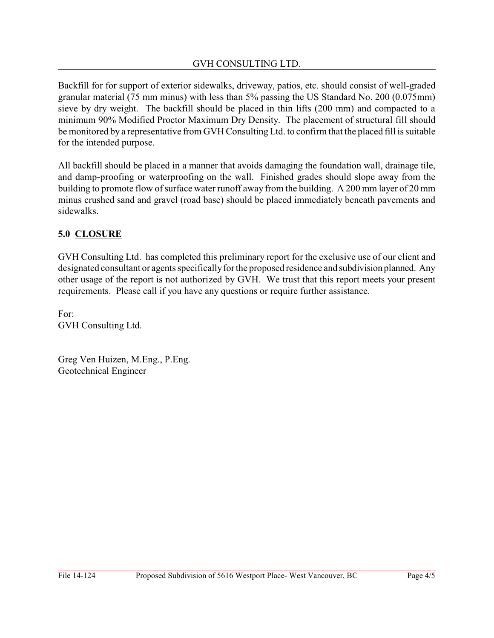### GVH CONSULTING LTD.

Backfill for for support of exterior sidewalks, driveway, patios, etc. should consist of well-graded granular material (75 mm minus) with less than 5% passing the US Standard No. 200 (0.075mm) sieve by dry weight. The backfill should be placed in thin lifts (200 mm) and compacted to a minimum 90% Modified Proctor Maximum Dry Density. The placement of structural fill should be monitored by a representative from GVH Consulting Ltd. to confirm that the placed fill is suitable for the intended purpose.

All backfill should be placed in a manner that avoids damaging the foundation wall, drainage tile, and damp-proofing or waterproofing on the wall. Finished grades should slope away from the building to promote flow of surface water runoff away from the building. A 200 mm layer of 20 mm minus crushed sand and gravel (road base) should be placed immediately beneath pavements and sidewalks.

### **5.0 CLOSURE**

GVH Consulting Ltd. has completed this preliminary report for the exclusive use of our client and designated consultant or agents specifically for the proposed residence and subdivision planned. Any other usage of the report is not authorized by GVH. We trust that this report meets your present requirements. Please call if you have any questions or require further assistance.

For: GVH Consulting Ltd.

Greg Ven Huizen, M.Eng., P.Eng. Geotechnical Engineer